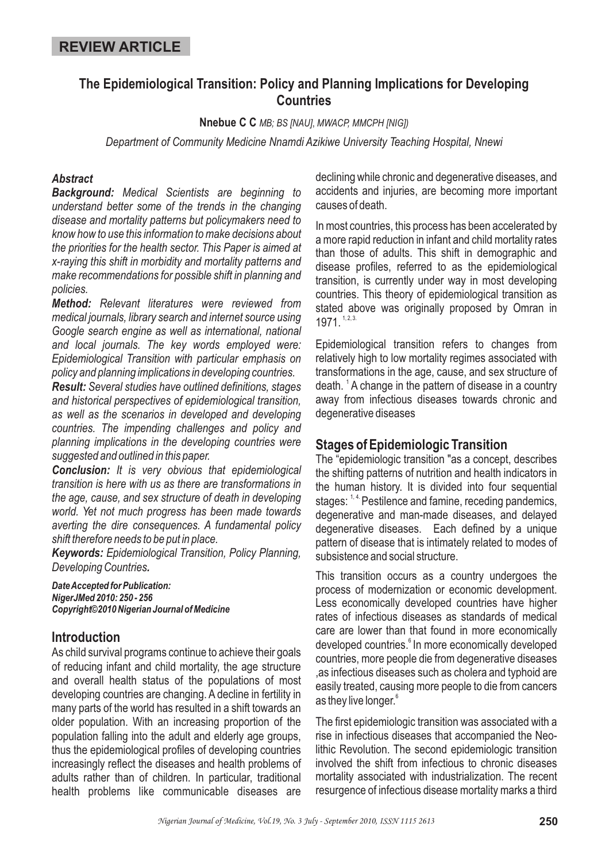## **The Epidemiological Transition: Policy and Planning Implications for Developing Countries**

**Nnebue C C** *MB; BS [NAU] MWACP, MMCPH [NIG])* ,

*Department of Community Medicine Nnamdi Azikiwe University Teaching Hospital, Nnewi*

#### *Abstract*

*Background: Medical Scientists are beginning to understand better some of the trends in the changing disease and mortality patterns but policymakers need to know how to use this information to make decisions about the priorities for the health sector. This Paper is aimed at x-raying this shift in morbidity and mortality patterns and make recommendations for possible shift in planning and policies.*

*Method: Relevant literatures were reviewed from medical journals, library search and internet source using Google search engine as well as international, national and local journals. The key words employed were: Epidemiological Transition with particular emphasis on policy and planning implications in developing countries.*

*Result: Several studies have outlined definitions, stages and historical perspectives of epidemiological transition, as well as the scenarios in developed and developing countries. The impending challenges and policy and planning implications in the developing countries were suggested and outlined in this paper.*

*Conclusion: It is very obvious that epidemiological transition is here with us as there are transformations in the age, cause, and sex structure of death in developing world. Yet not much progress has been made towards averting the dire consequences. A fundamental policy shift therefore needs to be put in place.*

*Keywords: Epidemiological Transition, Policy Planning, . Developing Countries*

*DateAccepted for Publication: NigerJMed 2010: 250 - 256 Copyright©2010 Nigerian Journal of Medicine*

### **Introduction**

As child survival programs continue to achieve their goals of reducing infant and child mortality, the age structure and overall health status of the populations of most developing countries are changing. A decline in fertility in many parts of the world has resulted in a shift towards an older population. With an increasing proportion of the population falling into the adult and elderly age groups, thus the epidemiological profiles of developing countries increasingly reflect the diseases and health problems of adults rather than of children. In particular, traditional health problems like communicable diseases are declining while chronic and degenerative diseases, and accidents and injuries, are becoming more important causes of death.

In most countries, this process has been accelerated by a more rapid reduction in infant and child mortality rates than those of adults. This shift in demographic and disease profiles, referred to as the epidemiological transition, is currently under way in most developing countries. This theory of epidemiological transition as stated above was originally proposed by Omran in  $1971.$ <sup>1, 2, 3.</sup>

Epidemiological transition refers to changes from relatively high to low mortality regimes associated with transformations in the age, cause, and sex structure of death.  $^1$  A change in the pattern of disease in a country away from infectious diseases towards chronic and degenerative diseases

### **Stages of Epidemiologic Transition**

The "epidemiologic transition "as a concept, describes the shifting patterns of nutrition and health indicators in the human history. It is divided into four sequential stages: 1,4 Pestilence and famine, receding pandemics, degenerative and man-made diseases, and delayed degenerative diseases. Each defined by a unique pattern of disease that is intimately related to modes of subsistence and social structure.

This transition occurs as a country undergoes the process of modernization or economic development. Less economically developed countries have higher rates of infectious diseases as standards of medical care are lower than that found in more economically developed countries.<sup>6</sup> In more economically developed countries, more people die from degenerative diseases ,as infectious diseases such as cholera and typhoid are easily treated, causing more people to die from cancers as they live longer. $^{\circ}$ 

The first epidemiologic transition was associated with a rise in infectious diseases that accompanied the Neolithic Revolution. The second epidemiologic transition involved the shift from infectious to chronic diseases mortality associated with industrialization. The recent resurgence of infectious disease mortality marks a third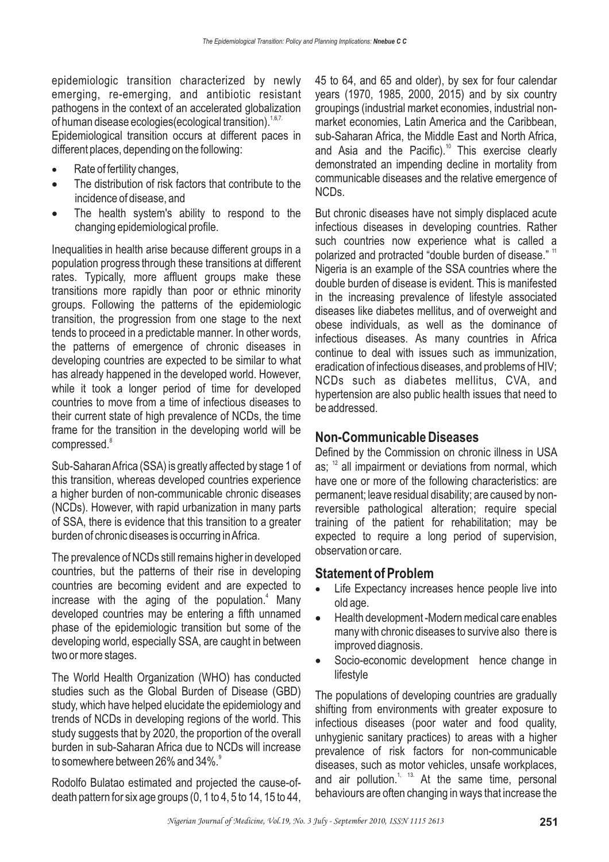epidemiologic transition characterized by newly emerging, re-emerging, and antibiotic resistant pathogens in the context of an accelerated globalization of human disease ecologies(ecological transition). $^{16,7.}$ 

Epidemiological transition occurs at different paces in different places, depending on the following:

- Rate of fertility changes, ·
- The distribution of risk factors that contribute to the incidence of disease, and ·
- The health system's ability to respond to the changing epidemiological profile. ·

Inequalities in health arise because different groups in a population progress through these transitions at different rates. Typically, more affluent groups make these transitions more rapidly than poor or ethnic minority groups. Following the patterns of the epidemiologic transition, the progression from one stage to the next tends to proceed in a predictable manner. In other words, the patterns of emergence of chronic diseases in developing countries are expected to be similar to what has already happened in the developed world. However, while it took a longer period of time for developed countries to move from a time of infectious diseases to their current state of high prevalence of NCDs, the time frame for the transition in the developing world will be compressed. 8

Sub-SaharanAfrica (SSA) is greatly affected by stage 1 of this transition, whereas developed countries experience a higher burden of non-communicable chronic diseases (NCDs). However, with rapid urbanization in many parts of SSA, there is evidence that this transition to a greater burden of chronic diseases is occurring inAfrica.

The prevalence of NCDs still remains higher in developed countries, but the patterns of their rise in developing countries are becoming evident and are expected to increase with the aging of the population. $4\,$  Many developed countries may be entering a fifth unnamed phase of the epidemiologic transition but some of the developing world, especially SSA, are caught in between two or more stages.

The World Health Organization (WHO) has conducted studies such as the Global Burden of Disease (GBD) study, which have helped elucidate the epidemiology and trends of NCDs in developing regions of the world. This study suggests that by 2020, the proportion of the overall burden in sub-Saharan Africa due to NCDs will increase to somewhere between 26% and 34%. $^{\circ}$ 

Rodolfo Bulatao estimated and projected the cause-ofdeath pattern for six age groups (0, 1 to 4, 5 to 14, 15 to 44, 45 to 64, and 65 and older), by sex for four calendar years (1970, 1985, 2000, 2015) and by six country groupings (industrial market economies, industrial nonmarket economies, Latin America and the Caribbean, sub-Saharan Africa, the Middle East and North Africa, and Asia and the Pacific).<sup>10</sup> This exercise clearly demonstrated an impending decline in mortality from communicable diseases and the relative emergence of NCDs.

But chronic diseases have not simply displaced acute infectious diseases in developing countries. Rather such countries now experience what is called a polarized and protracted "double burden of disease." <sup>11</sup> Nigeria is an example of the SSA countries where the double burden of disease is evident. This is manifested in the increasing prevalence of lifestyle associated diseases like diabetes mellitus, and of overweight and obese individuals, as well as the dominance of infectious diseases. As many countries in Africa continue to deal with issues such as immunization, eradication of infectious diseases, and problems of HIV; NCDs such as diabetes mellitus, CVA, and hypertension are also public health issues that need to be addressed.

## **Non-Communicable Diseases**

Defined by the Commission on chronic illness in USA as;  $12$  all impairment or deviations from normal, which have one or more of the following characteristics: are permanent; leave residual disability; are caused by nonreversible pathological alteration; require special training of the patient for rehabilitation; may be expected to require a long period of supervision, observation or care.

### **Statement of Problem**

- Life Expectancy increases hence people live into old age. ·
- Health development -Modern medical care enables many with chronic diseases to survive also there is improved diagnosis. ·
- Socio-economic development hence change in lifestyle ·

The populations of developing countries are gradually shifting from environments with greater exposure to infectious diseases (poor water and food quality, unhygienic sanitary practices) to areas with a higher prevalence of risk factors for non-communicable diseases, such as motor vehicles, unsafe workplaces, and air pollution.<sup>1, 13.</sup> At the same time, personal behaviours are often changing in ways that increase the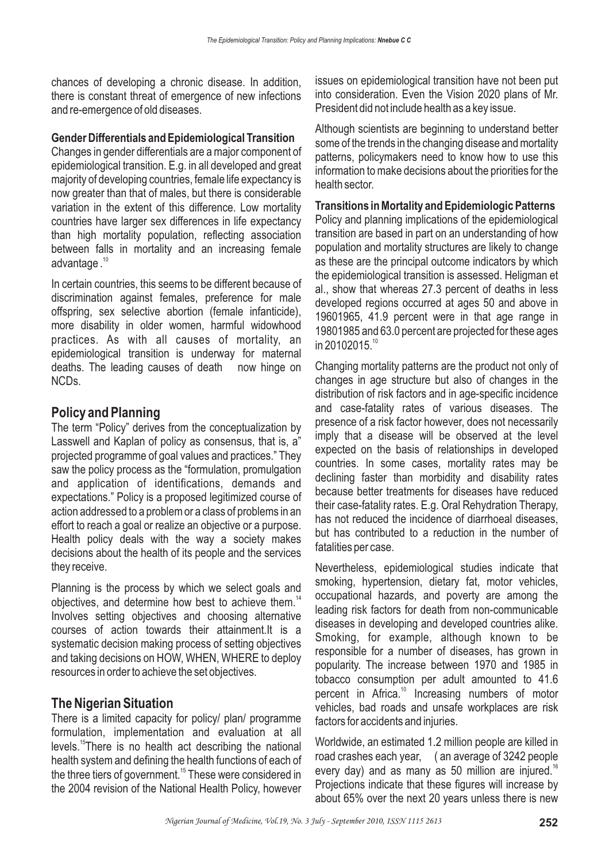chances of developing a chronic disease. In addition, there is constant threat of emergence of new infections and re-emergence of old diseases.

#### **Gender Differentials and Epidemiological Transition**

Changes in gender differentials are a major component of epidemiological transition. E.g. in all developed and great majority of developing countries, female life expectancy is now greater than that of males, but there is considerable variation in the extent of this difference. Low mortality countries have larger sex differences in life expectancy than high mortality population, reflecting association between falls in mortality and an increasing female advantage.<sup>10</sup>

In certain countries, this seems to be different because of discrimination against females, preference for male offspring, sex selective abortion (female infanticide), more disability in older women, harmful widowhood practices. As with all causes of mortality, an epidemiological transition is underway for maternal deaths. The leading causes of death now hinge on NCDs.

#### **Policy and Planning**

The term "Policy" derives from the conceptualization by Lasswell and Kaplan of policy as consensus, that is, a" projected programme of goal values and practices." They saw the policy process as the "formulation, promulgation and application of identifications, demands and expectations." Policy is a proposed legitimized course of action addressed to a problem or a class of problems in an effort to reach a goal or realize an objective or a purpose. Health policy deals with the way a society makes decisions about the health of its people and the services they receive.

Planning is the process by which we select goals and objectives, and determine how best to achieve them.<sup>14</sup> Involves setting objectives and choosing alternative courses of action towards their attainment.It is a systematic decision making process of setting objectives and taking decisions on HOW, WHEN, WHERE to deploy resources in order to achieve the set objectives.

### **The Nigerian Situation**

There is a limited capacity for policy/ plan/ programme formulation, implementation and evaluation at all levels.<sup>15</sup>There is no health act describing the national health system and defining the health functions of each of the three tiers of government.<sup>15</sup> These were considered in the 2004 revision of the National Health Policy, however issues on epidemiological transition have not been put into consideration. Even the Vision 2020 plans of Mr. President did not include health as a key issue.

Although scientists are beginning to understand better some of the trends in the changing disease and mortality patterns, policymakers need to know how to use this information to make decisions about the priorities for the health sector.

#### **Transitions in Mortality and Epidemiologic Patterns**

Policy and planning implications of the epidemiological transition are based in part on an understanding of how population and mortality structures are likely to change as these are the principal outcome indicators by which the epidemiological transition is assessed. Heligman et al., show that whereas 27.3 percent of deaths in less developed regions occurred at ages 50 and above in 19601965, 41.9 percent were in that age range in 19801985 and 63.0 percent are projected for these ages in 20102015. 10

Changing mortality patterns are the product not only of changes in age structure but also of changes in the distribution of risk factors and in age-specific incidence and case-fatality rates of various diseases. The presence of a risk factor however, does not necessarily imply that a disease will be observed at the level expected on the basis of relationships in developed countries. In some cases, mortality rates may be declining faster than morbidity and disability rates because better treatments for diseases have reduced their case-fatality rates. E.g. Oral Rehydration Therapy, has not reduced the incidence of diarrhoeal diseases, but has contributed to a reduction in the number of fatalities per case.

Nevertheless, epidemiological studies indicate that smoking, hypertension, dietary fat, motor vehicles, occupational hazards, and poverty are among the leading risk factors for death from non-communicable diseases in developing and developed countries alike. Smoking, for example, although known to be responsible for a number of diseases, has grown in popularity. The increase between 1970 and 1985 in tobacco consumption per adult amounted to 41.6 percent in Africa.<sup>10</sup> Increasing numbers of motor vehicles, bad roads and unsafe workplaces are risk factors for accidents and injuries.

Worldwide, an estimated 1.2 million people are killed in road crashes each year, ( an average of 3242 people every day) and as many as 50 million are injured.<sup>16</sup> Projections indicate that these figures will increase by about 65% over the next 20 years unless there is new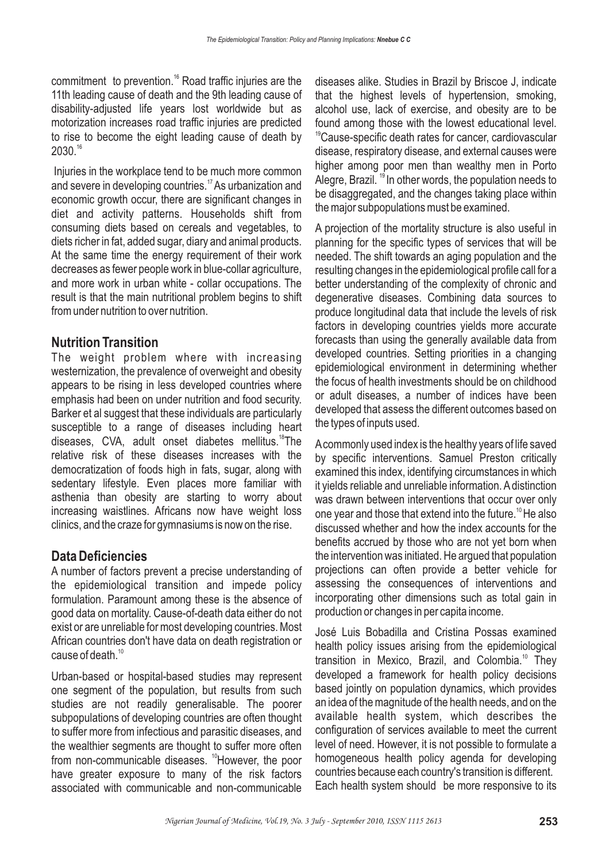commitment to prevention.<sup>16</sup> Road traffic injuries are the 11th leading cause of death and the 9th leading cause of disability-adjusted life years lost worldwide but as motorization increases road traffic injuries are predicted to rise to become the eight leading cause of death by  $2030.<sup>16</sup>$ 

Injuries in the workplace tend to be much more common and severe in developing countries.<sup>17</sup> As urbanization and economic growth occur, there are significant changes in diet and activity patterns. Households shift from consuming diets based on cereals and vegetables, to diets richer in fat, added sugar, diary and animal products. At the same time the energy requirement of their work decreases as fewer people work in blue-collar agriculture, and more work in urban white - collar occupations. The result is that the main nutritional problem begins to shift from under nutrition to over nutrition.

#### **Nutrition Transition**

The weight problem where with increasing westernization, the prevalence of overweight and obesity appears to be rising in less developed countries where emphasis had been on under nutrition and food security. Barker et al suggest that these individuals are particularly susceptible to a range of diseases including heart diseases, CVA, adult onset diabetes mellitus.<sup>18</sup>The relative risk of these diseases increases with the democratization of foods high in fats, sugar, along with sedentary lifestyle. Even places more familiar with asthenia than obesity are starting to worry about increasing waistlines. Africans now have weight loss clinics, and the craze for gymnasiums is now on the rise.

### **Data Deficiencies**

A number of factors prevent a precise understanding of the epidemiological transition and impede policy formulation. Paramount among these is the absence of good data on mortality. Cause-of-death data either do not exist or are unreliable for most developing countries. Most African countries don't have data on death registration or cause of death. 10

Urban-based or hospital-based studies may represent one segment of the population, but results from such studies are not readily generalisable. The poorer subpopulations of developing countries are often thought to suffer more from infectious and parasitic diseases, and the wealthier segments are thought to suffer more often from non-communicable diseases. <sup>10</sup>However, the poor have greater exposure to many of the risk factors associated with communicable and non-communicable diseases alike. Studies in Brazil by Briscoe J, indicate that the highest levels of hypertension, smoking, alcohol use, lack of exercise, and obesity are to be found among those with the lowest educational level. <sup>19</sup>Cause-specific death rates for cancer, cardiovascular disease, respiratory disease, and external causes were higher among poor men than wealthy men in Porto Alegre, Brazil. <sup>19</sup> In other words, the population needs to be disaggregated, and the changes taking place within the major subpopulations must be examined.

A projection of the mortality structure is also useful in planning for the specific types of services that will be needed. The shift towards an aging population and the resulting changes in the epidemiological profile call for a better understanding of the complexity of chronic and degenerative diseases. Combining data sources to produce longitudinal data that include the levels of risk factors in developing countries yields more accurate forecasts than using the generally available data from developed countries. Setting priorities in a changing epidemiological environment in determining whether the focus of health investments should be on childhood or adult diseases, a number of indices have been developed that assess the different outcomes based on the types of inputs used.

Acommonly used index is the healthy years of life saved by specific interventions. Samuel Preston critically examined this index, identifying circumstances in which it yields reliable and unreliable information. A distinction was drawn between interventions that occur over only one year and those that extend into the future. $^{10}\!$  He also discussed whether and how the index accounts for the benefits accrued by those who are not yet born when the intervention was initiated. He argued that population projections can often provide a better vehicle for assessing the consequences of interventions and incorporating other dimensions such as total gain in production or changes in per capita income.

José Luis Bobadilla and Cristina Possas examined health policy issues arising from the epidemiological transition in Mexico, Brazil, and Colombia.<sup>10</sup> They developed a framework for health policy decisions based jointly on population dynamics, which provides an idea of the magnitude of the health needs, and on the available health system, which describes the configuration of services available to meet the current level of need. However, it is not possible to formulate a homogeneous health policy agenda for developing countries because each country's transition is different. Each health system should be more responsive to its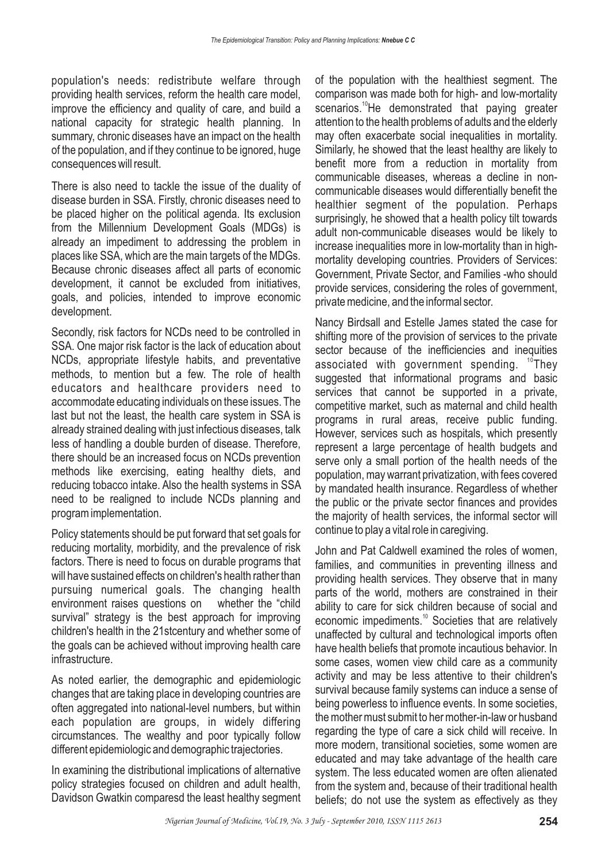population's needs: redistribute welfare through providing health services, reform the health care model, improve the efficiency and quality of care, and build a national capacity for strategic health planning. In summary, chronic diseases have an impact on the health of the population, and if they continue to be ignored, huge consequences will result.

There is also need to tackle the issue of the duality of disease burden in SSA. Firstly, chronic diseases need to be placed higher on the political agenda. Its exclusion from the Millennium Development Goals (MDGs) is already an impediment to addressing the problem in places like SSA, which are the main targets of the MDGs. Because chronic diseases affect all parts of economic development, it cannot be excluded from initiatives, goals, and policies, intended to improve economic development.

Secondly, risk factors for NCDs need to be controlled in SSA. One major risk factor is the lack of education about NCDs, appropriate lifestyle habits, and preventative methods, to mention but a few. The role of health educators and healthcare providers need to accommodate educating individuals on these issues. The last but not the least, the health care system in SSA is already strained dealing with just infectious diseases, talk less of handling a double burden of disease. Therefore, there should be an increased focus on NCDs prevention methods like exercising, eating healthy diets, and reducing tobacco intake. Also the health systems in SSA need to be realigned to include NCDs planning and program implementation.

Policy statements should be put forward that set goals for reducing mortality, morbidity, and the prevalence of risk factors. There is need to focus on durable programs that will have sustained effects on children's health rather than pursuing numerical goals. The changing health environment raises questions on whether the "child survival" strategy is the best approach for improving children's health in the 21stcentury and whether some of the goals can be achieved without improving health care infrastructure.

As noted earlier, the demographic and epidemiologic changes that are taking place in developing countries are often aggregated into national-level numbers, but within each population are groups, in widely differing circumstances. The wealthy and poor typically follow different epidemiologic and demographic trajectories.

In examining the distributional implications of alternative policy strategies focused on children and adult health, Davidson Gwatkin comparesd the least healthy segment of the population with the healthiest segment. The comparison was made both for high- and low-mortality scenarios.<sup>10</sup>He demonstrated that paying greater attention to the health problems of adults and the elderly may often exacerbate social inequalities in mortality. Similarly, he showed that the least healthy are likely to benefit more from a reduction in mortality from communicable diseases, whereas a decline in noncommunicable diseases would differentially benefit the healthier segment of the population. Perhaps surprisingly, he showed that a health policy tilt towards adult non-communicable diseases would be likely to increase inequalities more in low-mortality than in highmortality developing countries. Providers of Services: Government, Private Sector, and Families -who should provide services, considering the roles of government, private medicine, and the informal sector.

Nancy Birdsall and Estelle James stated the case for shifting more of the provision of services to the private sector because of the inefficiencies and inequities associated with government spending.  $^{10}$ They suggested that informational programs and basic services that cannot be supported in a private, competitive market, such as maternal and child health programs in rural areas, receive public funding. However, services such as hospitals, which presently represent a large percentage of health budgets and serve only a small portion of the health needs of the population, may warrant privatization, with fees covered by mandated health insurance. Regardless of whether the public or the private sector finances and provides the majority of health services, the informal sector will continue to play a vital role in caregiving.

John and Pat Caldwell examined the roles of women, families, and communities in preventing illness and providing health services. They observe that in many parts of the world, mothers are constrained in their ability to care for sick children because of social and economic impediments.<sup>10</sup> Societies that are relatively unaffected by cultural and technological imports often have health beliefs that promote incautious behavior. In some cases, women view child care as a community activity and may be less attentive to their children's survival because family systems can induce a sense of being powerless to influence events. In some societies, the mother must submit to her mother-in-law or husband regarding the type of care a sick child will receive. In more modern, transitional societies, some women are educated and may take advantage of the health care system. The less educated women are often alienated from the system and, because of their traditional health beliefs; do not use the system as effectively as they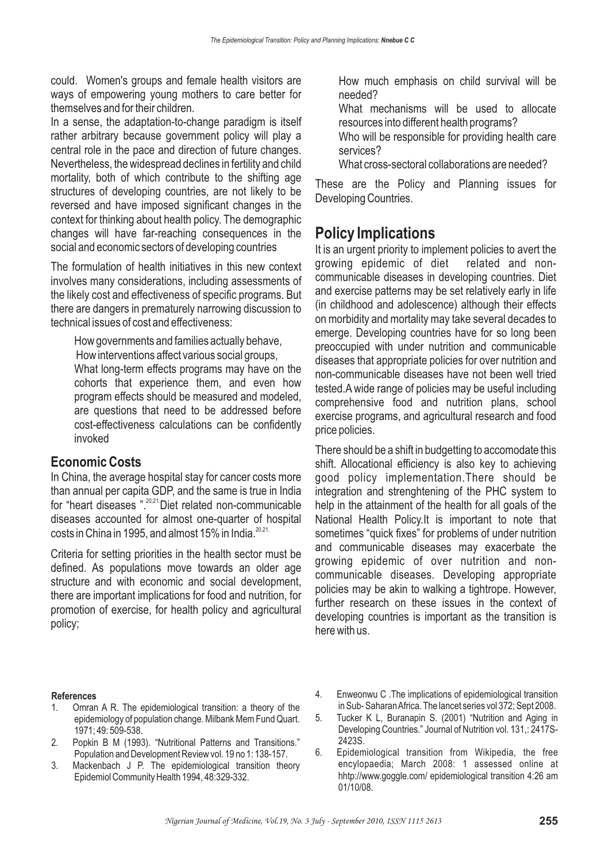could. Women's groups and female health visitors are ways of empowering young mothers to care better for themselves and for their children.

In a sense, the adaptation-to-change paradigm is itself rather arbitrary because government policy will play a central role in the pace and direction of future changes. Nevertheless, the widespread declines in fertility and child mortality, both of which contribute to the shifting age structures of developing countries, are not likely to be reversed and have imposed significant changes in the context for thinking about health policy. The demographic changes will have far-reaching consequences in the social and economic sectors of developing countries

The formulation of health initiatives in this new context involves many considerations, including assessments of the likely cost and effectiveness of specific programs. But there are dangers in prematurely narrowing discussion to technical issues of cost and effectiveness:

How governments and families actually behave, How interventions affect various social groups,

What long-term effects programs may have on the cohorts that experience them, and even how program effects should be measured and modeled, are questions that need to be addressed before cost-effectiveness calculations can be confidently invoked

### **Economic Costs**

In China, the average hospital stay for cancer costs more than annual per capita GDP, and the same is true in India for "heart diseases ".<sup>20,21</sup> Diet related non-communicable diseases accounted for almost one-quarter of hospital costs in China in 1995, and almost 15% in India. $^{20,21}$ 

Criteria for setting priorities in the health sector must be defined. As populations move towards an older age structure and with economic and social development, there are important implications for food and nutrition, for promotion of exercise, for health policy and agricultural policy;

How much emphasis on child survival will be needed?

What mechanisms will be used to allocate resources into different health programs?

Who will be responsible for providing health care services?

What cross-sectoral collaborations are needed?

These are the Policy and Planning issues for Developing Countries.

# **Policy Implications**

It is an urgent priority to implement policies to avert the growing epidemic of diet related and noncommunicable diseases in developing countries. Diet and exercise patterns may be set relatively early in life (in childhood and adolescence) although their effects on morbidity and mortality may take several decades to emerge. Developing countries have for so long been preoccupied with under nutrition and communicable diseases that appropriate policies for over nutrition and non-communicable diseases have not been well tried tested.A wide range of policies may be useful including comprehensive food and nutrition plans, school exercise programs, and agricultural research and food price policies.

There should be a shift in budgetting to accomodate this shift. Allocational efficiency is also key to achieving good policy implementation.There should be integration and strenghtening of the PHC system to help in the attainment of the health for all goals of the National Health Policy.It is important to note that sometimes "quick fixes" for problems of under nutrition and communicable diseases may exacerbate the growing epidemic of over nutrition and noncommunicable diseases. Developing appropriate policies may be akin to walking a tightrope. However, further research on these issues in the context of developing countries is important as the transition is here with us.

#### **References**

- 1. Omran A R. The epidemiological transition: a theory of the epidemiology of population change. Milbank Mem Fund Quart. 1971; 49: 509-538.
- 2. Popkin B M (1993). "Nutritional Patterns and Transitions." Population and Development Review vol. 19 no 1: 138-157.
- 3. Mackenbach J P. The epidemiological transition theory Epidemiol Community Health 1994, 48:329-332.
- 4. Enweonwu C .The implications of epidemiological transition in Sub- SaharanAfrica. The lancet series vol 372; Sept 2008.
- 5. Tucker K L, Buranapin S. (2001) "Nutrition and Aging in Developing Countries." Journal of Nutrition vol. 131,: 2417S-2423S.
- 6. Epidemiological transition from Wikipedia, the free encylopaedia; March 2008: 1 assessed online at hhtp://www.goggle.com/ epidemiological transition 4:26 am 01/10/08.